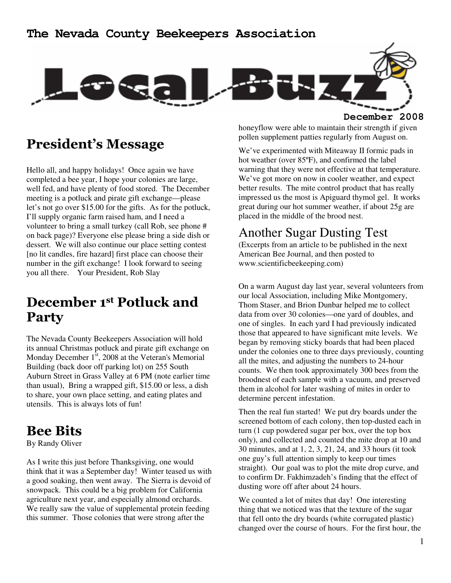#### **The Nevada County Beekeepers Association**



**December 2008**

## President's Message

Hello all, and happy holidays! Once again we have completed a bee year, I hope your colonies are large, well fed, and have plenty of food stored. The December meeting is a potluck and pirate gift exchange—please let's not go over \$15.00 for the gifts. As for the potluck, I'll supply organic farm raised ham, and I need a volunteer to bring a small turkey (call Rob, see phone # on back page)? Everyone else please bring a side dish or dessert. We will also continue our place setting contest [no lit candles, fire hazard] first place can choose their number in the gift exchange! I look forward to seeing you all there. Your President, Rob Slay

# December 1st Potluck and Party

The Nevada County Beekeepers Association will hold its annual Christmas potluck and pirate gift exchange on Monday December  $1<sup>st</sup>$ , 2008 at the Veteran's Memorial Building (back door off parking lot) on 255 South Auburn Street in Grass Valley at 6 PM (note earlier time than usual), Bring a wrapped gift, \$15.00 or less, a dish to share, your own place setting, and eating plates and utensils. This is always lots of fun!

## Bee Bits

By Randy Oliver

As I write this just before Thanksgiving, one would think that it was a September day! Winter teased us with a good soaking, then went away. The Sierra is devoid of snowpack. This could be a big problem for California agriculture next year, and especially almond orchards. We really saw the value of supplemental protein feeding this summer. Those colonies that were strong after the

honeyflow were able to maintain their strength if given pollen supplement patties regularly from August on.

We've experimented with Miteaway II formic pads in hot weather (over 85ºF), and confirmed the label warning that they were not effective at that temperature. We've got more on now in cooler weather, and expect better results. The mite control product that has really impressed us the most is Apiguard thymol gel. It works great during our hot summer weather, if about 25g are placed in the middle of the brood nest.

### Another Sugar Dusting Test

(Excerpts from an article to be published in the next American Bee Journal, and then posted to www.scientificbeekeeping.com)

On a warm August day last year, several volunteers from our local Association, including Mike Montgomery, Thom Staser, and Brion Dunbar helped me to collect data from over 30 colonies—one yard of doubles, and one of singles. In each yard I had previously indicated those that appeared to have significant mite levels. We began by removing sticky boards that had been placed under the colonies one to three days previously, counting all the mites, and adjusting the numbers to 24-hour counts. We then took approximately 300 bees from the broodnest of each sample with a vacuum, and preserved them in alcohol for later washing of mites in order to determine percent infestation.

Then the real fun started! We put dry boards under the screened bottom of each colony, then top-dusted each in turn (1 cup powdered sugar per box, over the top box only), and collected and counted the mite drop at 10 and 30 minutes, and at 1, 2, 3, 21, 24, and 33 hours (it took one guy's full attention simply to keep our times straight). Our goal was to plot the mite drop curve, and to confirm Dr. Fakhimzadeh's finding that the effect of dusting wore off after about 24 hours.

We counted a lot of mites that day! One interesting thing that we noticed was that the texture of the sugar that fell onto the dry boards (white corrugated plastic) changed over the course of hours. For the first hour, the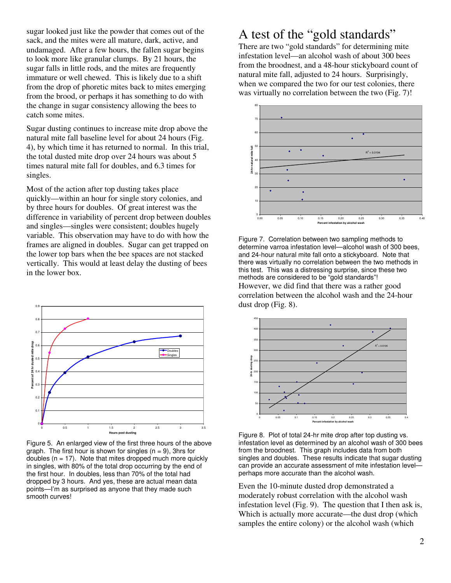sugar looked just like the powder that comes out of the sack, and the mites were all mature, dark, active, and undamaged. After a few hours, the fallen sugar begins to look more like granular clumps. By 21 hours, the sugar falls in little rods, and the mites are frequently immature or well chewed. This is likely due to a shift from the drop of phoretic mites back to mites emerging from the brood, or perhaps it has something to do with the change in sugar consistency allowing the bees to catch some mites.

Sugar dusting continues to increase mite drop above the natural mite fall baseline level for about 24 hours (Fig. 4), by which time it has returned to normal. In this trial, the total dusted mite drop over 24 hours was about 5 times natural mite fall for doubles, and 6.3 times for singles.

Most of the action after top dusting takes place quickly—within an hour for single story colonies, and by three hours for doubles. Of great interest was the difference in variability of percent drop between doubles and singles—singles were consistent; doubles hugely variable. This observation may have to do with how the frames are aligned in doubles. Sugar can get trapped on the lower top bars when the bee spaces are not stacked vertically. This would at least delay the dusting of bees in the lower box.



Figure 5. An enlarged view of the first three hours of the above graph. The first hour is shown for singles  $(n = 9)$ , 3hrs for doubles  $(n = 17)$ . Note that mites dropped much more quickly in singles, with 80% of the total drop occurring by the end of the first hour. In doubles, less than 70% of the total had dropped by 3 hours. And yes, these are actual mean data points—I'm as surprised as anyone that they made such smooth curves!

### A test of the "gold standards"

There are two "gold standards" for determining mite infestation level—an alcohol wash of about 300 bees from the broodnest, and a 48-hour stickyboard count of natural mite fall, adjusted to 24 hours. Surprisingly, when we compared the two for our test colonies, there was virtually no correlation between the two (Fig. 7)!



Figure 7. Correlation between two sampling methods to determine varroa infestation level—alcohol wash of 300 bees, and 24-hour natural mite fall onto a stickyboard. Note that there was virtually no correlation between the two methods in this test. This was a distressing surprise, since these two methods are considered to be "gold standards"! However, we did find that there was a rather good correlation between the alcohol wash and the 24-hour dust drop (Fig. 8).



Figure 8. Plot of total 24-hr mite drop after top dusting vs. infestation level as determined by an alcohol wash of 300 bees from the broodnest. This graph includes data from both singles and doubles. These results indicate that sugar dusting can provide an accurate assessment of mite infestation level perhaps more accurate than the alcohol wash.

Even the 10-minute dusted drop demonstrated a moderately robust correlation with the alcohol wash infestation level (Fig. 9). The question that I then ask is, Which is actually more accurate—the dust drop (which samples the entire colony) or the alcohol wash (which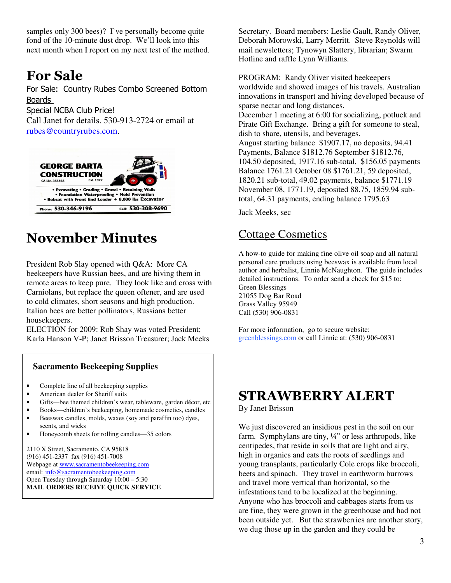samples only 300 bees)? I've personally become quite fond of the 10-minute dust drop. We'll look into this next month when I report on my next test of the method.

# For Sale

For Sale: Country Rubes Combo Screened Bottom Boards Special NCBA Club Price! Call Janet for details. 530-913-2724 or email at rubes@countryrubes.com.



# November Minutes

President Rob Slay opened with Q&A: More CA beekeepers have Russian bees, and are hiving them in remote areas to keep pure. They look like and cross with Carniolans, but replace the queen oftener, and are used to cold climates, short seasons and high production. Italian bees are better pollinators, Russians better housekeepers.

ELECTION for 2009: Rob Shay was voted President; Karla Hanson V-P; Janet Brisson Treasurer; Jack Meeks

#### **Sacramento Beekeeping Supplies**

- Complete line of all beekeeping supplies
- American dealer for Sheriff suits
- Gifts—bee themed children's wear, tableware, garden décor, etc
- Books—children's beekeeping, homemade cosmetics, candles
- Beeswax candles, molds, waxes (soy and paraffin too) dyes, scents, and wicks
- Honeycomb sheets for rolling candles—35 colors

2110 X Street, Sacramento, CA 95818 (916) 451-2337 fax (916) 451-7008 Webpage at www.sacramentobeekeeping.com email: info@sacramentobeekeeping.com Open Tuesday through Saturday 10:00 – 5:30 **MAIL ORDERS RECEIVE QUICK SERVICE** 

Secretary. Board members: Leslie Gault, Randy Oliver, Deborah Morowski, Larry Merritt. Steve Reynolds will mail newsletters; Tynowyn Slattery, librarian; Swarm Hotline and raffle Lynn Williams.

PROGRAM: Randy Oliver visited beekeepers worldwide and showed images of his travels. Australian innovations in transport and hiving developed because of sparse nectar and long distances. December 1 meeting at 6:00 for socializing, potluck and Pirate Gift Exchange. Bring a gift for someone to steal, dish to share, utensils, and beverages. August starting balance \$1907.17, no deposits, 94.41 Payments, Balance \$1812.76 September \$1812.76, 104.50 deposited, 1917.16 sub-total, \$156.05 payments Balance 1761.21 October 08 \$1761.21, 59 deposited, 1820.21 sub-total, 49.02 payments, balance \$1771.19 November 08, 1771.19, deposited 88.75, 1859.94 subtotal, 64.31 payments, ending balance 1795.63

Jack Meeks, sec

#### Cottage Cosmetics

A how-to guide for making fine olive oil soap and all natural personal care products using beeswax is available from local author and herbalist, Linnie McNaughton. The guide includes detailed instructions. To order send a check for \$15 to: Green Blessings 21055 Dog Bar Road Grass Valley 95949 Call (530) 906-0831

For more information, go to secure website: greenblessings.com or call Linnie at: (530) 906-0831

## STRAWBERRY ALERT

By Janet Brisson

We just discovered an insidious pest in the soil on our farm. Symphylans are tiny, ¼" or less arthropods, like centipedes, that reside in soils that are light and airy, high in organics and eats the roots of seedlings and young transplants, particularly Cole crops like broccoli, beets and spinach. They travel in earthworm burrows and travel more vertical than horizontal, so the infestations tend to be localized at the beginning. Anyone who has broccoli and cabbages starts from us are fine, they were grown in the greenhouse and had not been outside yet. But the strawberries are another story, we dug those up in the garden and they could be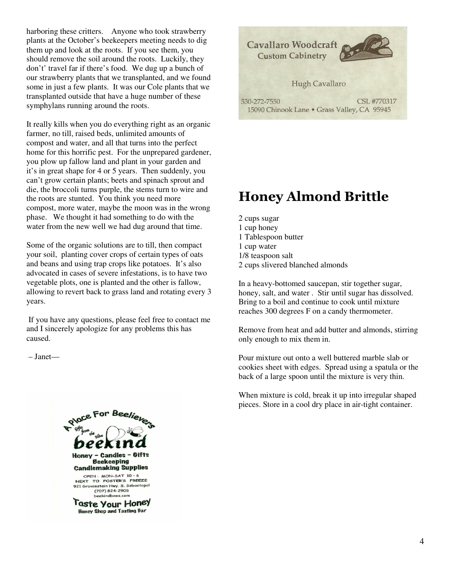harboring these critters. Anyone who took strawberry plants at the October's beekeepers meeting needs to dig them up and look at the roots. If you see them, you should remove the soil around the roots. Luckily, they don't' travel far if there's food. We dug up a bunch of our strawberry plants that we transplanted, and we found some in just a few plants. It was our Cole plants that we transplanted outside that have a huge number of these symphylans running around the roots.

It really kills when you do everything right as an organic farmer, no till, raised beds, unlimited amounts of compost and water, and all that turns into the perfect home for this horrific pest. For the unprepared gardener, you plow up fallow land and plant in your garden and it's in great shape for 4 or 5 years. Then suddenly, you can't grow certain plants; beets and spinach sprout and die, the broccoli turns purple, the stems turn to wire and the roots are stunted. You think you need more compost, more water, maybe the moon was in the wrong phase. We thought it had something to do with the water from the new well we had dug around that time.

Some of the organic solutions are to till, then compact your soil, planting cover crops of certain types of oats and beans and using trap crops like potatoes. It's also advocated in cases of severe infestations, is to have two vegetable plots, one is planted and the other is fallow, allowing to revert back to grass land and rotating every 3 years.

 If you have any questions, please feel free to contact me and I sincerely apologize for any problems this has caused.

– Janet—





# Honey Almond Brittle

- 2 cups sugar
- 1 cup honey
- 1 Tablespoon butter
- 1 cup water
- 1/8 teaspoon salt
- 2 cups slivered blanched almonds

In a heavy-bottomed saucepan, stir together sugar, honey, salt, and water . Stir until sugar has dissolved. Bring to a boil and continue to cook until mixture reaches 300 degrees F on a candy thermometer.

Remove from heat and add butter and almonds, stirring only enough to mix them in.

Pour mixture out onto a well buttered marble slab or cookies sheet with edges. Spread using a spatula or the back of a large spoon until the mixture is very thin.

When mixture is cold, break it up into irregular shaped pieces. Store in a cool dry place in air-tight container.